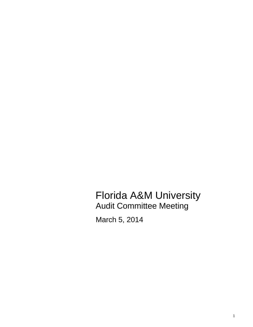Florida A&M University Audit Committee Meeting

March 5, 2014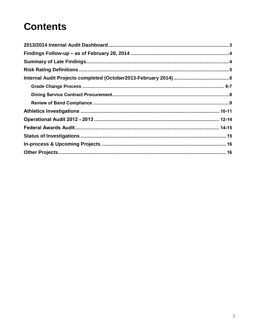# **Contents**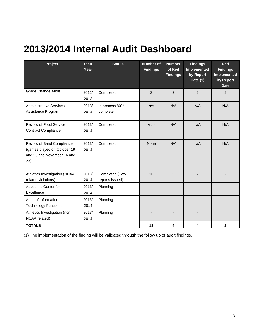# <span id="page-2-0"></span>**2013/2014 Internal Audit Dashboard**

| Project                                                                                       | <b>Plan</b><br>Year | <b>Status</b>                     | <b>Number of</b><br><b>Findings</b> | <b>Number</b><br>of Red<br><b>Findings</b> | <b>Findings</b><br>Implemented<br>by Report<br>Date (1) | Red<br><b>Findings</b><br>Implemented<br>by Report<br><b>Date</b> |
|-----------------------------------------------------------------------------------------------|---------------------|-----------------------------------|-------------------------------------|--------------------------------------------|---------------------------------------------------------|-------------------------------------------------------------------|
| Grade Change Audit                                                                            | 2012/<br>2013       | Completed                         | 3                                   | $\overline{2}$                             | $\overline{2}$                                          | $\overline{2}$                                                    |
| <b>Administrative Services</b><br>Assistance Program                                          | 2013/<br>2014       | In process 80%<br>complete        | N/A                                 | N/A                                        | N/A                                                     | N/A                                                               |
| Review of Food Service<br><b>Contract Compliance</b>                                          | 2013/<br>2014       | Completed                         | None                                | N/A                                        | N/A                                                     | N/A                                                               |
| Review of Band Compliance<br>(games played on October 19<br>and 26 and November 16 and<br>23) | 2013/<br>2014       | Completed                         | <b>None</b>                         | N/A                                        | N/A                                                     | N/A                                                               |
| Athletics Investigation (NCAA<br>related violations)                                          | 2013/<br>2014       | Completed (Two<br>reports issued) | 10                                  | 2                                          | 2                                                       |                                                                   |
| Academic Center for<br>Excellence                                                             | 2013/<br>2014       | Planning                          |                                     |                                            |                                                         |                                                                   |
| Audit of Information<br><b>Technology Functions</b>                                           | 2013/<br>2014       | Planning                          |                                     |                                            |                                                         |                                                                   |
| Athletics Investigation (non<br>NCAA related)                                                 | 2013/<br>2014       | Planning                          |                                     |                                            |                                                         |                                                                   |
| <b>TOTALS</b>                                                                                 |                     |                                   | 13                                  | 4                                          | 4                                                       | $\mathbf{2}$                                                      |

(1) The implementation of the finding will be validated through the follow up of audit findings.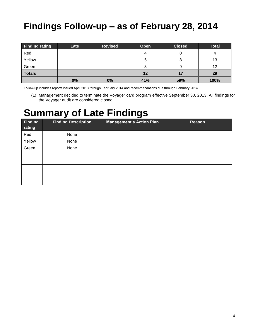## <span id="page-3-0"></span>**Findings Follow-up – as of February 28, 2014**

| <b>Finding rating</b> | Late | <b>Revised</b> | Open | <b>Closed</b> | <b>Total</b> |
|-----------------------|------|----------------|------|---------------|--------------|
| Red                   |      |                |      |               | 4            |
| Yellow                |      |                | G    |               | 13           |
| Green                 |      |                | ت    | 9             | 12           |
| <b>Totals</b>         |      |                | 12   | 17            | 29           |
|                       | 0%   | 0%             | 41%  | 59%           | 100%         |

Follow-up includes reports issued April 2013 through February 2014 and recommendations due through February 2014.

(1) Management decided to terminate the Voyager card program effective September 30, 2013. All findings for the Voyager audit are considered closed.

## <span id="page-3-1"></span>**Summary of Late Findings**

| Finding<br>rating | <b>Finding Description</b> | <b>Management's Action Plan</b> | Reason |
|-------------------|----------------------------|---------------------------------|--------|
| Red               | None                       |                                 |        |
| Yellow            | None                       |                                 |        |
| Green             | None                       |                                 |        |
|                   |                            |                                 |        |
|                   |                            |                                 |        |
|                   |                            |                                 |        |
|                   |                            |                                 |        |
|                   |                            |                                 |        |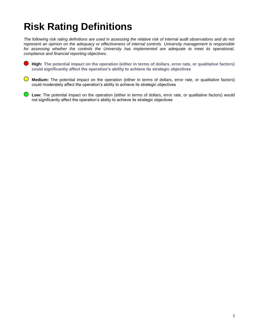# <span id="page-4-0"></span>**Risk Rating Definitions**

*The following risk rating definitions are used in assessing the relative risk of internal audit observations and do not represent an opinion on the adequacy or effectiveness of internal controls. University management is responsible for assessing whether the controls the University has implemented are adequate to meet its operational, compliance and financial reporting objectives.*

**High: The potential impact on the operation (either in terms of dollars, error rate, or qualitative factors) could significantly affect the operation's ability to achieve its strategic objectives**

**Medium:** The potential impact on the operation (either in terms of dollars, error rate, or qualitative factors) could moderately affect the operation's ability to achieve its strategic objectives

 $\bigcirc$ **Low:** The potential impact on the operation (either in terms of dollars, error rate, or qualitative factors) would not significantly affect the operation's ability to achieve its strategic objectives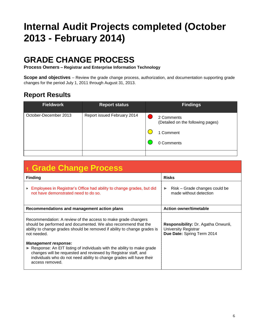# <span id="page-5-0"></span>**Internal Audit Projects completed (October 2013 - February 2014)**

## **GRADE CHANGE PROCESS**

**Process Owners – Registrar and Enterprise Information Technology**

**Scope and objectives** – Review the grade change process, authorization, and documentation supporting grade changes for the period July 1, 2011 through August 31, 2013.

| <b>Fieldwork</b>      | <b>Report status</b>        | <b>Findings</b>                                 |
|-----------------------|-----------------------------|-------------------------------------------------|
| October-December 2013 | Report issued February 2014 | 2 Comments<br>(Detailed on the following pages) |
|                       |                             | 1 Comment                                       |
|                       |                             | 0 Comments                                      |
|                       |                             |                                                 |

| 1. Grade Change Process                                                                                                                                                                                                                                                             |                                                                                           |
|-------------------------------------------------------------------------------------------------------------------------------------------------------------------------------------------------------------------------------------------------------------------------------------|-------------------------------------------------------------------------------------------|
| <b>Finding</b>                                                                                                                                                                                                                                                                      | <b>Risks</b>                                                                              |
| Employees in Registrar's Office had ability to change grades, but did<br>Þ.<br>not have demonstrated need to do so.                                                                                                                                                                 | Risk – Grade changes could be<br>$\blacktriangleright$<br>made without detection          |
| Recommendations and management action plans                                                                                                                                                                                                                                         | <b>Action owner/timetable</b>                                                             |
| Recommendation: A review of the access to make grade changers<br>should be performed and documented. We also recommend that the<br>ability to change grades should be removed if ability to change grades is<br>not needed.                                                         | Responsibility: Dr. Agatha Onwunli,<br>University Registrar<br>Due Date: Spring Term 2014 |
| <b>Management response:</b><br>$\triangleright$ Response: An EIT listing of individuals with the ability to make grade<br>changes will be requested and reviewed by Registrar staff, and<br>individuals who do not need ability to change grades will have their<br>access removed. |                                                                                           |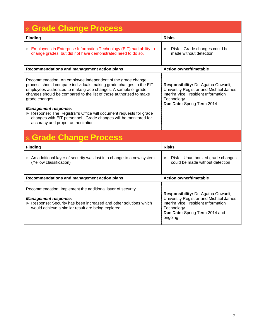| <b>Grade Change Process</b>                                                                                                                                                                                                                                                                                                                                                                                                                                                                             |                                                                                                                                                                                 |
|---------------------------------------------------------------------------------------------------------------------------------------------------------------------------------------------------------------------------------------------------------------------------------------------------------------------------------------------------------------------------------------------------------------------------------------------------------------------------------------------------------|---------------------------------------------------------------------------------------------------------------------------------------------------------------------------------|
| <b>Finding</b>                                                                                                                                                                                                                                                                                                                                                                                                                                                                                          | <b>Risks</b>                                                                                                                                                                    |
| Employees in Enterprise Information Technology (EIT) had ability to<br>change grades, but did not have demonstrated need to do so.                                                                                                                                                                                                                                                                                                                                                                      | Risk - Grade changes could be<br>▶<br>made without detection                                                                                                                    |
| Recommendations and management action plans                                                                                                                                                                                                                                                                                                                                                                                                                                                             | <b>Action owner/timetable</b>                                                                                                                                                   |
| Recommendation: An employee independent of the grade change<br>process should compare individuals making grade changes to the EIT<br>employees authorized to make grade changes. A sample of grade<br>changes should be compared to the list of those authorized to make<br>grade changes.<br><b>Management response:</b><br>Response: The Registrar's Office will document requests for grade<br>changes with EIT personnel. Grade changes will be monitored for<br>accuracy and proper authorization. | Responsibility: Dr. Agatha Onwunli,<br>University Registrar and Michael James,<br>Interim Vice President Information<br>Technology<br>Due Date: Spring Term 2014                |
| 3. Grade Change Process                                                                                                                                                                                                                                                                                                                                                                                                                                                                                 |                                                                                                                                                                                 |
| <b>Finding</b>                                                                                                                                                                                                                                                                                                                                                                                                                                                                                          | <b>Risks</b>                                                                                                                                                                    |
| An additional layer of security was lost in a change to a new system.<br>(Yellow classification)                                                                                                                                                                                                                                                                                                                                                                                                        | Risk - Unauthorized grade changes<br>▶<br>could be made without detection                                                                                                       |
| Recommendations and management action plans                                                                                                                                                                                                                                                                                                                                                                                                                                                             | <b>Action owner/timetable</b>                                                                                                                                                   |
| Recommendation: Implement the additional layer of security.<br><b>Management response:</b><br>Response: Security has been increased and other solutions which<br>would achieve a similar result are being explored.                                                                                                                                                                                                                                                                                     | Responsibility: Dr. Agatha Onwunli,<br>University Registrar and Michael James,<br>Interim Vice President Information<br>Technology<br>Due Date: Spring Term 2014 and<br>ongoing |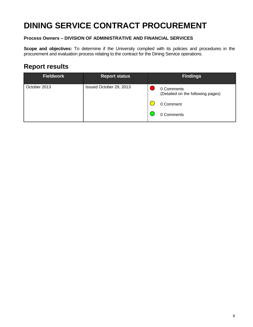## **DINING SERVICE CONTRACT PROCUREMENT**

#### **Process Owners – DIVISION OF ADMINISTRATIVE AND FINANCIAL SERVICES**

**Scope and objectives:** To determine if the University complied with its policies and procedures in the procurement and evaluation process relating to the contract for the Dining Service operations.

| <b>Fieldwork</b> | <b>Report status</b>    | <b>Findings</b>                                 |
|------------------|-------------------------|-------------------------------------------------|
| October 2013     | Issued October 29, 2013 | 0 Comments<br>(Detailed on the following pages) |
|                  |                         | 0 Comment                                       |
|                  |                         | 0 Comments                                      |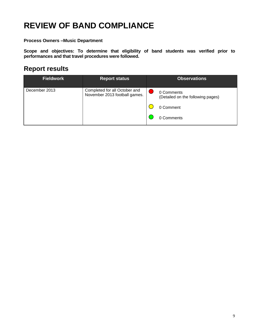## **REVIEW OF BAND COMPLIANCE**

**Process Owners –Music Department**

**Scope and objectives: To determine that eligibility of band students was verified prior to performances and that travel procedures were followed.**

| <b>Fieldwork</b> | <b>Report status</b>                                           | <b>Observations</b>                             |
|------------------|----------------------------------------------------------------|-------------------------------------------------|
| December 2013    | Completed for all October and<br>November 2013 football games. | 0 Comments<br>(Detailed on the following pages) |
|                  |                                                                | 0 Comment                                       |
|                  |                                                                | 0 Comments                                      |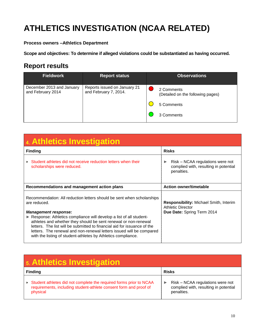## **ATHLETICS INVESTIGATION (NCAA RELATED)**

#### **Process owners –Athletics Department**

**Scope and objectives: To determine if alleged violations could be substantiated as having occurred.**

| <b>Fieldwork</b>                               | <b>Report status</b>                                  | <b>Observations</b>                             |
|------------------------------------------------|-------------------------------------------------------|-------------------------------------------------|
| December 2013 and January<br>and February 2014 | Reports issued on January 21<br>and February 7, 2014. | 2 Comments<br>(Detailed on the following pages) |
|                                                |                                                       | 5 Comments                                      |
|                                                |                                                       | 3 Comments                                      |

| 4. Athletics Investigation                                                                                                                                                                                                                                                                                                                                                                                                                                                            |                                                                                                  |
|---------------------------------------------------------------------------------------------------------------------------------------------------------------------------------------------------------------------------------------------------------------------------------------------------------------------------------------------------------------------------------------------------------------------------------------------------------------------------------------|--------------------------------------------------------------------------------------------------|
| <b>Finding</b>                                                                                                                                                                                                                                                                                                                                                                                                                                                                        | <b>Risks</b>                                                                                     |
| Student athletes did not receive reduction letters when their<br>scholarships were reduced.                                                                                                                                                                                                                                                                                                                                                                                           | Risk – NCAA regulations were not<br>complied with, resulting in potential<br>penalties.          |
| Recommendations and management action plans                                                                                                                                                                                                                                                                                                                                                                                                                                           | <b>Action owner/timetable</b>                                                                    |
| Recommendation: All reduction letters should be sent when scholarships<br>are reduced.<br><b>Management response:</b><br>► Response: Athletics compliance will develop a list of all student-<br>athletes and whether they should be sent renewal or non-renewal<br>letters. The list will be submitted to financial aid for issuance of the<br>letters. The renewal and non-renewal letters issued will be compared<br>with the listing of student-athletes by Athletics compliance. | Responsibility: Michael Smith, Interim<br><b>Athletic Director</b><br>Due Date: Spring Term 2014 |

| 5. Athletics Investigation                                                                                                                          |                                                                                              |  |
|-----------------------------------------------------------------------------------------------------------------------------------------------------|----------------------------------------------------------------------------------------------|--|
| <b>Finding</b>                                                                                                                                      | <b>Risks</b>                                                                                 |  |
| Student athletes did not complete the required forms prior to NCAA<br>requirements, including student-athlete consent form and proof of<br>physical | Risk – NCAA regulations were not<br>▶<br>complied with, resulting in potential<br>penalties. |  |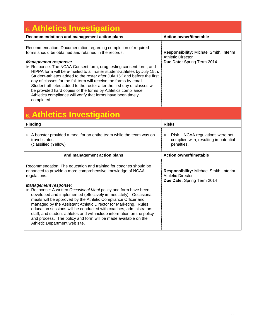| 5. Athletics Investigation                                                                                                                                                                                                                                                                                                                                                                                                                                                                                                                                                                                                                                                                     |                                                                                                  |  |
|------------------------------------------------------------------------------------------------------------------------------------------------------------------------------------------------------------------------------------------------------------------------------------------------------------------------------------------------------------------------------------------------------------------------------------------------------------------------------------------------------------------------------------------------------------------------------------------------------------------------------------------------------------------------------------------------|--------------------------------------------------------------------------------------------------|--|
| Recommendations and management action plans                                                                                                                                                                                                                                                                                                                                                                                                                                                                                                                                                                                                                                                    | <b>Action owner/timetable</b>                                                                    |  |
| Recommendation: Documentation regarding completion of required<br>forms should be obtained and retained in the records.<br><b>Management response:</b><br>Response: The NCAA Consent form, drug testing consent form, and<br>HIPPA form will be e-mailed to all roster student-athletes by July 15th.<br>Student-athletes added to the roster after July 15 <sup>th</sup> and before the first<br>day of classes for the fall term will receive the forms by email.<br>Student-athletes added to the roster after the first day of classes will<br>be provided hard copies of the forms by Athletics compliance.<br>Athletics compliance will verify that forms have been timely<br>completed. | Responsibility: Michael Smith, Interim<br><b>Athletic Director</b><br>Due Date: Spring Term 2014 |  |
| 6. Athletics Investigation                                                                                                                                                                                                                                                                                                                                                                                                                                                                                                                                                                                                                                                                     |                                                                                                  |  |
| <b>Finding</b>                                                                                                                                                                                                                                                                                                                                                                                                                                                                                                                                                                                                                                                                                 | <b>Risks</b>                                                                                     |  |
| A booster provided a meal for an entire team while the team was on<br>travel status.<br>(classified (Yellow)                                                                                                                                                                                                                                                                                                                                                                                                                                                                                                                                                                                   | Risk – NCAA regulations were not<br>▶<br>complied with, resulting in potential<br>penalties.     |  |
| and management action plans                                                                                                                                                                                                                                                                                                                                                                                                                                                                                                                                                                                                                                                                    | <b>Action owner/timetable</b>                                                                    |  |
| Recommendation: The education and training for coaches should be<br>enhanced to provide a more comprehensive knowledge of NCAA<br>regulations.<br><b>Management response:</b><br>Response: A written Occasional Meal policy and form have been<br>developed and implemented (effectively immediately). Occasional<br>meals will be approved by the Athletic Compliance Officer and<br>managed by the Assistant Athletic Director for Marketing. Rules                                                                                                                                                                                                                                          | Responsibility: Michael Smith, Interim<br><b>Athletic Director</b><br>Due Date: Spring Term 2014 |  |
| education sessions will be conducted with coaches, administrators,<br>staff, and student-athletes and will include information on the policy<br>and process. The policy and form will be made available on the<br>Athletic Department web site.                                                                                                                                                                                                                                                                                                                                                                                                                                                |                                                                                                  |  |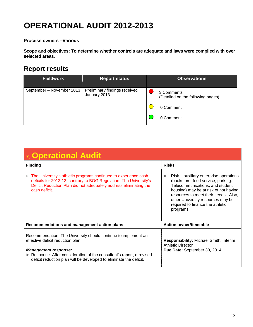## **OPERATIONAL AUDIT 2012-2013**

**Process owners –Various**

**Scope and objectives: To determine whether controls are adequate and laws were complied with over selected areas.**

| <b>Fieldwork</b>          | <b>Report status</b>                           | <b>Observations</b>                             |
|---------------------------|------------------------------------------------|-------------------------------------------------|
| September - November 2013 | Preliminary findings received<br>January 2013. | 3 Comments<br>(Detailed on the following pages) |
|                           |                                                | 0 Comment<br>0 Comment                          |
|                           |                                                |                                                 |

| 7. Operational Audit                                                                                                                                                                                                                                                            |                                                                                                                                                                                                                                                                                        |  |
|---------------------------------------------------------------------------------------------------------------------------------------------------------------------------------------------------------------------------------------------------------------------------------|----------------------------------------------------------------------------------------------------------------------------------------------------------------------------------------------------------------------------------------------------------------------------------------|--|
| <b>Finding</b>                                                                                                                                                                                                                                                                  | <b>Risks</b>                                                                                                                                                                                                                                                                           |  |
| The University's athletic programs continued to experience cash<br>Þ.<br>deficits for 2012-13, contrary to BOG Regulation. The University's<br>Deficit Reduction Plan did not adequately address eliminating the<br>cash deficit.                                               | Risk – auxiliary enterprise operations<br>(bookstore, food service, parking.<br>Telecommunications, and student<br>housing) may be at risk of not having<br>resources to meet their needs. Also,<br>other University resources may be<br>required to finance the athletic<br>programs. |  |
| Recommendations and management action plans                                                                                                                                                                                                                                     | <b>Action owner/timetable</b>                                                                                                                                                                                                                                                          |  |
| Recommendation: The University should continue to implement an<br>effective deficit reduction plan.<br><b>Management response:</b><br>Response: After consideration of the consultant's report, a revised<br>deficit reduction plan will be developed to eliminate the deficit. | Responsibility: Michael Smith, Interim<br><b>Athletic Director</b><br>Due Date: September 30, 2014                                                                                                                                                                                     |  |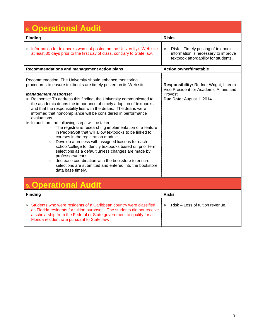| 8. Operational Audit                                                                                                                                                                                                                                                                                                                                                                                                                                                                                                                                                                                                                                                                                                                                                                                                                                                                                                                                                                                                                          |                                                                                                                          |  |
|-----------------------------------------------------------------------------------------------------------------------------------------------------------------------------------------------------------------------------------------------------------------------------------------------------------------------------------------------------------------------------------------------------------------------------------------------------------------------------------------------------------------------------------------------------------------------------------------------------------------------------------------------------------------------------------------------------------------------------------------------------------------------------------------------------------------------------------------------------------------------------------------------------------------------------------------------------------------------------------------------------------------------------------------------|--------------------------------------------------------------------------------------------------------------------------|--|
| <b>Finding</b>                                                                                                                                                                                                                                                                                                                                                                                                                                                                                                                                                                                                                                                                                                                                                                                                                                                                                                                                                                                                                                | <b>Risks</b>                                                                                                             |  |
| Information for textbooks was not posted on the University's Web site<br>at least 30 days prior to the first day of class, contrary to State law.                                                                                                                                                                                                                                                                                                                                                                                                                                                                                                                                                                                                                                                                                                                                                                                                                                                                                             | Risk - Timely posting of textbook<br>▶<br>information is necessary to improve<br>textbook affordability for students.    |  |
| Recommendations and management action plans                                                                                                                                                                                                                                                                                                                                                                                                                                                                                                                                                                                                                                                                                                                                                                                                                                                                                                                                                                                                   | <b>Action owner/timetable</b>                                                                                            |  |
| Recommendation: The University should enhance monitoring<br>procedures to ensure textbooks are timely posted on its Web site.<br><b>Management response:</b><br>Response: To address this finding, the University communicated to<br>the academic deans the importance of timely adoption of textbooks<br>and that the responsibility lies with the deans. The deans were<br>informed that noncompliance will be considered in performance<br>evaluations.<br>In addition, the following steps will be taken:<br>The registrar is researching implementation of a feature<br>$\circ$<br>in PeopleSoft that will allow textbooks to be linked to<br>courses in the registration module<br>Develop a process with assigned liaisons for each<br>$\circ$<br>school/college to identify textbooks based on prior term<br>selections as a default unless changes are made by<br>professors/deans<br>.Increase coordination with the bookstore to ensure<br>$\circ$<br>selections are submitted and entered into the bookstore<br>data base timely. | Responsibility: Rodner Wright, Interim<br>Vice President for Academic Affairs and<br>Provost<br>Due Date: August 1, 2014 |  |
| <b>Operational Audit</b>                                                                                                                                                                                                                                                                                                                                                                                                                                                                                                                                                                                                                                                                                                                                                                                                                                                                                                                                                                                                                      |                                                                                                                          |  |
| <b>Finding</b>                                                                                                                                                                                                                                                                                                                                                                                                                                                                                                                                                                                                                                                                                                                                                                                                                                                                                                                                                                                                                                | <b>Risks</b>                                                                                                             |  |
| Students who were residents of a Caribbean country were classified<br>as Florida residents for tuition purposes. The students did not receive<br>a scholarship from the Federal or State government to qualify for a<br>Florida resident rate pursuant to State law.                                                                                                                                                                                                                                                                                                                                                                                                                                                                                                                                                                                                                                                                                                                                                                          | Risk - Loss of tuition revenue.<br>▶                                                                                     |  |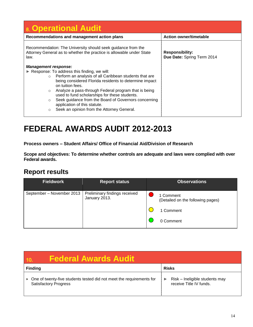| 8. Operational Audit                                                                                                                                                                                                                                                                                                                                                                                                                                                                                 |                                                      |  |
|------------------------------------------------------------------------------------------------------------------------------------------------------------------------------------------------------------------------------------------------------------------------------------------------------------------------------------------------------------------------------------------------------------------------------------------------------------------------------------------------------|------------------------------------------------------|--|
| Recommendations and management action plans                                                                                                                                                                                                                                                                                                                                                                                                                                                          | <b>Action owner/timetable</b>                        |  |
| Recommendation: The University should seek guidance from the<br>Attorney General as to whether the practice is allowable under State<br>law.                                                                                                                                                                                                                                                                                                                                                         | <b>Responsibility:</b><br>Due Date: Spring Term 2014 |  |
| <b>Management response:</b><br>Response: To address this finding, we will:<br>o Perform an analysis of all Caribbean students that are<br>being considered Florida residents to determine impact<br>on tuition fees.<br>Analyze a pass-through Federal program that is being<br>$\circ$<br>used to fund scholarships for these students.<br>Seek guidance from the Board of Governors concerning<br>$\circ$<br>application of this statute.<br>Seek an opinion from the Attorney General.<br>$\circ$ |                                                      |  |

### **FEDERAL AWARDS AUDIT 2012-2013**

**Process owners – Student Affairs/ Office of Financial Aid/Division of Research**

**Scope and objectives: To determine whether controls are adequate and laws were complied with over Federal awards.**

| <b>Fieldwork</b>          | <b>Report status</b>                           | <b>Observations</b>                            |
|---------------------------|------------------------------------------------|------------------------------------------------|
| September - November 2013 | Preliminary findings received<br>January 2013. | 1 Comment<br>(Detailed on the following pages) |
|                           |                                                | 1 Comment                                      |
|                           |                                                | 0 Comment                                      |

| <b>Federal Awards Audit</b>                                                                          |                                                           |
|------------------------------------------------------------------------------------------------------|-----------------------------------------------------------|
| <b>Finding</b>                                                                                       | <b>Risks</b>                                              |
| One of twenty-five students tested did not meet the requirements for<br><b>Satisfactory Progress</b> | Risk - Ineligible students may<br>receive Title IV funds. |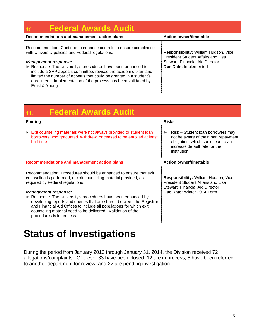| <b>Federal Awards Audit</b><br>10.                                                                                                                                                                                                                                                                                                                                                                                                                 |                                                                                                                                        |
|----------------------------------------------------------------------------------------------------------------------------------------------------------------------------------------------------------------------------------------------------------------------------------------------------------------------------------------------------------------------------------------------------------------------------------------------------|----------------------------------------------------------------------------------------------------------------------------------------|
| Recommendations and management action plans                                                                                                                                                                                                                                                                                                                                                                                                        | <b>Action owner/timetable</b>                                                                                                          |
| Recommendation: Continue to enhance controls to ensure compliance<br>with University policies and Federal regulations.<br><b>Management response:</b><br>Response: The University's procedures have been enhanced to<br>include a SAP appeals committee, revised the academic plan, and<br>limited the number of appeals that could be granted in a student's<br>enrollment. Implementation of the process has been validated by<br>Ernst & Young. | Responsibility: William Hudson, Vice<br>President Student Affairs and Lisa<br>Stewart, Financial Aid Director<br>Due Date: Implemented |

| <b>Federal Awards Audit</b><br>11.                                                                                                                                                                                                                                                                                                                                                                                                                                                                                  |                                                                                                                                                                                           |
|---------------------------------------------------------------------------------------------------------------------------------------------------------------------------------------------------------------------------------------------------------------------------------------------------------------------------------------------------------------------------------------------------------------------------------------------------------------------------------------------------------------------|-------------------------------------------------------------------------------------------------------------------------------------------------------------------------------------------|
| <b>Finding</b>                                                                                                                                                                                                                                                                                                                                                                                                                                                                                                      | <b>Risks</b>                                                                                                                                                                              |
| Exit counseling materials were not always provided to student loan<br>▶<br>borrowers who graduated, withdrew, or ceased to be enrolled at least<br>half-time.                                                                                                                                                                                                                                                                                                                                                       | Risk - Student loan borrowers may<br>$\blacktriangleright$<br>not be aware of their loan repayment<br>obligation, which could lead to an<br>increase default rate for the<br>institution. |
| <b>Recommendations and management action plans</b>                                                                                                                                                                                                                                                                                                                                                                                                                                                                  | <b>Action owner/timetable</b>                                                                                                                                                             |
| Recommendation: Procedures should be enhanced to ensure that exit<br>counseling is performed, or exit counseling material provided, as<br>required by Federal regulations.<br><b>Management response:</b><br>Response: The University's procedures have been enhanced by<br>developing reports and queries that are shared between the Registrar<br>and Financial Aid Offices to include all populations for which exit<br>counseling material need to be delivered. Validation of the<br>procedures is in process. | Responsibility: William Hudson, Vice<br><b>President Student Affairs and Lisa</b><br>Stewart, Financial Aid Director<br>Due Date: Winter 2014 Term                                        |

# <span id="page-14-0"></span>**Status of Investigations**

<span id="page-14-1"></span>During the period from January 2013 through January 31, 2014, the Division received 72 allegations/complaints. Of these, 33 have been closed, 12 are in process, 5 have been referred to another department for review, and 22 are pending investigation.